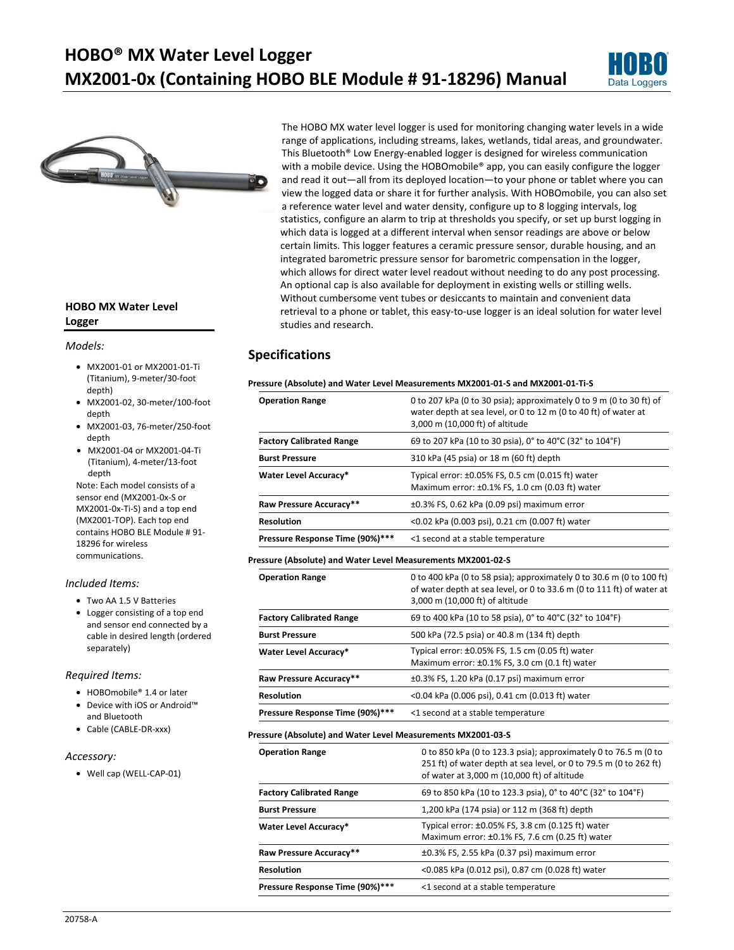# **HOBO® MX Water Level Logger MX2001-0x (Containing HOBO BLE Module # 91-18296) Manual**





### **HOBO MX Water Level Logger**

#### *Models:*

- MX2001-01 or MX2001-01-Ti (Titanium), 9-meter/30-foot depth)
- MX2001-02, 30-meter/100-foot depth
- MX2001-03, 76-meter/250-foot depth
- MX2001-04 or MX2001-04-Ti (Titanium), 4-meter/13-foot depth

Note: Each model consists of a sensor end (MX2001-0x-S or MX2001-0x-Ti-S) and a top end (MX2001-TOP). Each top end contains HOBO BLE Module # 91- 18296 for wireless communications.

#### *Included Items:*

- Two AA 1.5 V Batteries
- Logger consisting of a top end and sensor end connected by a cable in desired length (ordered separately)

#### *Required Items:*

- HOBOmobile® 1.4 or later
- Device with iOS or Android™ and Bluetooth
- Cable (CABLE-DR-xxx)

#### *Accessory:*

• Well cap (WELL-CAP-01)

The HOBO MX water level logger is used for monitoring changing water levels in a wide range of applications, including streams, lakes, wetlands, tidal areas, and groundwater. This Bluetooth® Low Energy-enabled logger is designed for wireless communication with a mobile device. Using the HOBOmobile® app, you can easily configure the logger and read it out—all from its deployed location—to your phone or tablet where you can view the logged data or share it for further analysis. With HOBOmobile, you can also set a reference water level and water density, configure up to 8 logging intervals, log statistics, configure an alarm to trip at thresholds you specify, or set up burst logging in which data is logged at a different interval when sensor readings are above or below certain limits. This logger features a ceramic pressure sensor, durable housing, and an integrated barometric pressure sensor for barometric compensation in the logger, which allows for direct water level readout without needing to do any post processing. An optional cap is also available for deployment in existing wells or stilling wells. Without cumbersome vent tubes or desiccants to maintain and convenient data retrieval to a phone or tablet, this easy-to-use logger is an ideal solution for water level studies and research.

### **Specifications**

#### **Pressure (Absolute) and Water Level Measurements MX2001-01-S and MX2001-01-Ti-S**

| 0 to 207 kPa (0 to 30 psia); approximately 0 to 9 m (0 to 30 ft) of<br>water depth at sea level, or 0 to 12 m (0 to 40 ft) of water at<br>3,000 m (10,000 ft) of altitude |
|---------------------------------------------------------------------------------------------------------------------------------------------------------------------------|
| 69 to 207 kPa (10 to 30 psia), 0° to 40°C (32° to 104°F)                                                                                                                  |
| 310 kPa (45 psia) or 18 m (60 ft) depth                                                                                                                                   |
| Typical error: ±0.05% FS, 0.5 cm (0.015 ft) water<br>Maximum error: ±0.1% FS, 1.0 cm (0.03 ft) water                                                                      |
| $\pm 0.3\%$ FS, 0.62 kPa (0.09 psi) maximum error                                                                                                                         |
| <0.02 kPa (0.003 psi), 0.21 cm (0.007 ft) water                                                                                                                           |
| <1 second at a stable temperature                                                                                                                                         |
|                                                                                                                                                                           |

#### **Pressure (Absolute) and Water Level Measurements MX2001-02-S**

| <b>Operation Range</b>          | 0 to 400 kPa (0 to 58 psia); approximately 0 to 30.6 m (0 to 100 ft)<br>of water depth at sea level, or 0 to 33.6 m (0 to 111 ft) of water at<br>3,000 m (10,000 ft) of altitude |
|---------------------------------|----------------------------------------------------------------------------------------------------------------------------------------------------------------------------------|
| <b>Factory Calibrated Range</b> | 69 to 400 kPa (10 to 58 psia), 0° to 40°C (32° to 104°F)                                                                                                                         |
| <b>Burst Pressure</b>           | 500 kPa (72.5 psia) or 40.8 m (134 ft) depth                                                                                                                                     |
| Water Level Accuracy*           | Typical error: ±0.05% FS, 1.5 cm (0.05 ft) water<br>Maximum error: ±0.1% FS, 3.0 cm (0.1 ft) water                                                                               |
| Raw Pressure Accuracy**         | $\pm 0.3\%$ FS, 1.20 kPa (0.17 psi) maximum error                                                                                                                                |
| <b>Resolution</b>               | <0.04 kPa (0.006 psi), 0.41 cm (0.013 ft) water                                                                                                                                  |
| Pressure Response Time (90%)*** | <1 second at a stable temperature                                                                                                                                                |

#### **Pressure (Absolute) and Water Level Measurements MX2001-03-S**

| <b>Operation Range</b>          | 0 to 850 kPa (0 to 123.3 psia); approximately 0 to 76.5 m (0 to<br>251 ft) of water depth at sea level, or 0 to 79.5 m (0 to 262 ft)<br>of water at 3,000 m (10,000 ft) of altitude |
|---------------------------------|-------------------------------------------------------------------------------------------------------------------------------------------------------------------------------------|
| <b>Factory Calibrated Range</b> | 69 to 850 kPa (10 to 123.3 psia), 0° to 40°C (32° to 104°F)                                                                                                                         |
| <b>Burst Pressure</b>           | 1,200 kPa (174 psia) or 112 m (368 ft) depth                                                                                                                                        |
| Water Level Accuracy*           | Typical error: ±0.05% FS, 3.8 cm (0.125 ft) water<br>Maximum error: ±0.1% FS, 7.6 cm (0.25 ft) water                                                                                |
| Raw Pressure Accuracy**         | $\pm 0.3\%$ FS, 2.55 kPa (0.37 psi) maximum error                                                                                                                                   |
| <b>Resolution</b>               | <0.085 kPa (0.012 psi), 0.87 cm (0.028 ft) water                                                                                                                                    |
| Pressure Response Time (90%)*** | <1 second at a stable temperature                                                                                                                                                   |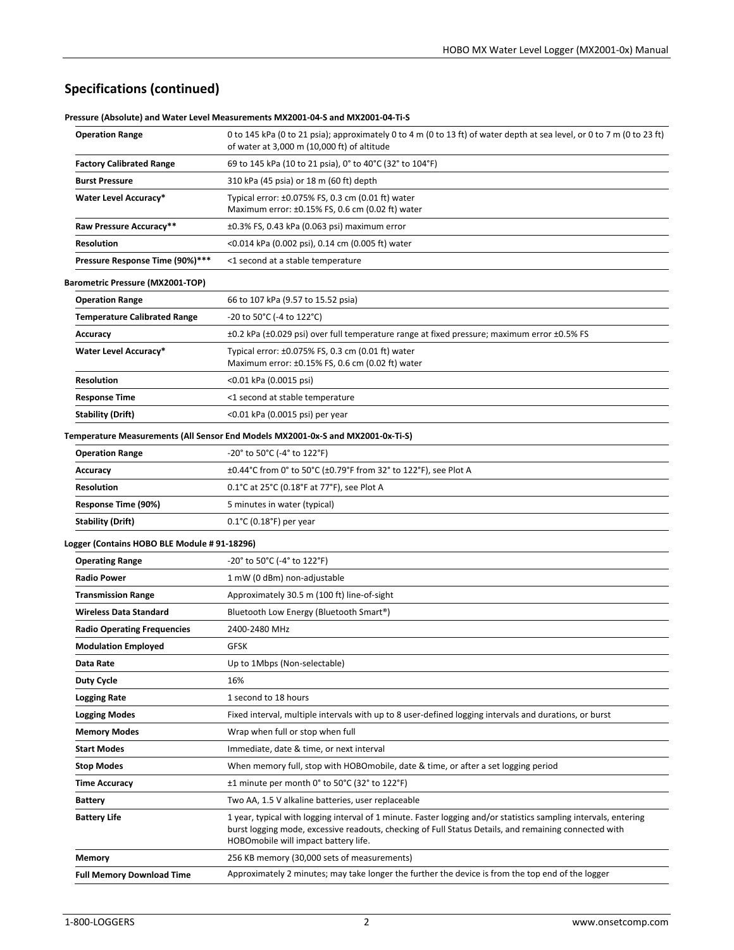# **Specifications (continued)**

|                                              | cssure (Absolute) and Water Lever Ivicasurements IVIA2001-04-3 and IVIA2001-04-11-3                                                                                                                                                                               |
|----------------------------------------------|-------------------------------------------------------------------------------------------------------------------------------------------------------------------------------------------------------------------------------------------------------------------|
| <b>Operation Range</b>                       | 0 to 145 kPa (0 to 21 psia); approximately 0 to 4 m (0 to 13 ft) of water depth at sea level, or 0 to 7 m (0 to 23 ft)<br>of water at 3,000 m (10,000 ft) of altitude                                                                                             |
| <b>Factory Calibrated Range</b>              | 69 to 145 kPa (10 to 21 psia), 0° to 40°C (32° to 104°F)                                                                                                                                                                                                          |
| <b>Burst Pressure</b>                        | 310 kPa (45 psia) or 18 m (60 ft) depth                                                                                                                                                                                                                           |
| <b>Water Level Accuracy*</b>                 | Typical error: $\pm 0.075\%$ FS, 0.3 cm (0.01 ft) water<br>Maximum error: ±0.15% FS, 0.6 cm (0.02 ft) water                                                                                                                                                       |
| Raw Pressure Accuracy**                      | $\pm 0.3\%$ FS, 0.43 kPa (0.063 psi) maximum error                                                                                                                                                                                                                |
| <b>Resolution</b>                            | <0.014 kPa (0.002 psi), 0.14 cm (0.005 ft) water                                                                                                                                                                                                                  |
| Pressure Response Time (90%)***              | <1 second at a stable temperature                                                                                                                                                                                                                                 |
| Barometric Pressure (MX2001-TOP)             |                                                                                                                                                                                                                                                                   |
| <b>Operation Range</b>                       | 66 to 107 kPa (9.57 to 15.52 psia)                                                                                                                                                                                                                                |
| <b>Temperature Calibrated Range</b>          | -20 to 50°C (-4 to 122°C)                                                                                                                                                                                                                                         |
| Accuracy                                     | $\pm 0.2$ kPa ( $\pm 0.029$ psi) over full temperature range at fixed pressure; maximum error $\pm 0.5\%$ FS                                                                                                                                                      |
| <b>Water Level Accuracy*</b>                 | Typical error: ±0.075% FS, 0.3 cm (0.01 ft) water<br>Maximum error: ±0.15% FS, 0.6 cm (0.02 ft) water                                                                                                                                                             |
| <b>Resolution</b>                            | <0.01 kPa (0.0015 psi)                                                                                                                                                                                                                                            |
| <b>Response Time</b>                         | <1 second at stable temperature                                                                                                                                                                                                                                   |
| <b>Stability (Drift)</b>                     | <0.01 kPa (0.0015 psi) per year                                                                                                                                                                                                                                   |
|                                              | Temperature Measurements (All Sensor End Models MX2001-0x-S and MX2001-0x-Ti-S)                                                                                                                                                                                   |
| <b>Operation Range</b>                       | $-20^{\circ}$ to 50°C (-4° to 122°F)                                                                                                                                                                                                                              |
| Accuracy                                     | ±0.44°C from 0° to 50°C (±0.79°F from 32° to 122°F), see Plot A                                                                                                                                                                                                   |
| <b>Resolution</b>                            | $0.1^{\circ}$ C at 25 $^{\circ}$ C (0.18 $^{\circ}$ F at 77 $^{\circ}$ F), see Plot A                                                                                                                                                                             |
| Response Time (90%)                          | 5 minutes in water (typical)                                                                                                                                                                                                                                      |
| <b>Stability (Drift)</b>                     | $0.1^{\circ}$ C (0.18 $^{\circ}$ F) per year                                                                                                                                                                                                                      |
| Logger (Contains HOBO BLE Module # 91-18296) |                                                                                                                                                                                                                                                                   |
| <b>Operating Range</b>                       | $-20^{\circ}$ to 50 $^{\circ}$ C (-4 $^{\circ}$ to 122 $^{\circ}$ F)                                                                                                                                                                                              |
| <b>Radio Power</b>                           | 1 mW (0 dBm) non-adjustable                                                                                                                                                                                                                                       |
| <b>Transmission Range</b>                    | Approximately 30.5 m (100 ft) line-of-sight                                                                                                                                                                                                                       |
| <b>Wireless Data Standard</b>                | Bluetooth Low Energy (Bluetooth Smart®)                                                                                                                                                                                                                           |
| <b>Radio Operating Frequencies</b>           | 2400-2480 MHz                                                                                                                                                                                                                                                     |
| <b>Modulation Employed</b>                   | <b>GFSK</b>                                                                                                                                                                                                                                                       |
| Data Rate                                    | Up to 1Mbps (Non-selectable)                                                                                                                                                                                                                                      |
| <b>Duty Cycle</b>                            | 16%                                                                                                                                                                                                                                                               |
| <b>Logging Rate</b>                          | 1 second to 18 hours                                                                                                                                                                                                                                              |
| <b>Logging Modes</b>                         | Fixed interval, multiple intervals with up to 8 user-defined logging intervals and durations, or burst                                                                                                                                                            |
| <b>Memory Modes</b>                          | Wrap when full or stop when full                                                                                                                                                                                                                                  |
| <b>Start Modes</b>                           | Immediate, date & time, or next interval                                                                                                                                                                                                                          |
| <b>Stop Modes</b>                            | When memory full, stop with HOBOmobile, date & time, or after a set logging period                                                                                                                                                                                |
| <b>Time Accuracy</b>                         | ±1 minute per month 0° to 50°C (32° to 122°F)                                                                                                                                                                                                                     |
| <b>Battery</b>                               | Two AA, 1.5 V alkaline batteries, user replaceable                                                                                                                                                                                                                |
| <b>Battery Life</b>                          | 1 year, typical with logging interval of 1 minute. Faster logging and/or statistics sampling intervals, entering<br>burst logging mode, excessive readouts, checking of Full Status Details, and remaining connected with<br>HOBOmobile will impact battery life. |
| Memory                                       | 256 KB memory (30,000 sets of measurements)                                                                                                                                                                                                                       |
| <b>Full Memory Download Time</b>             | Approximately 2 minutes; may take longer the further the device is from the top end of the logger                                                                                                                                                                 |

**Pressure (Absolute) and Water Level Measurements MX2001-04-S and MX2001-04-Ti-S**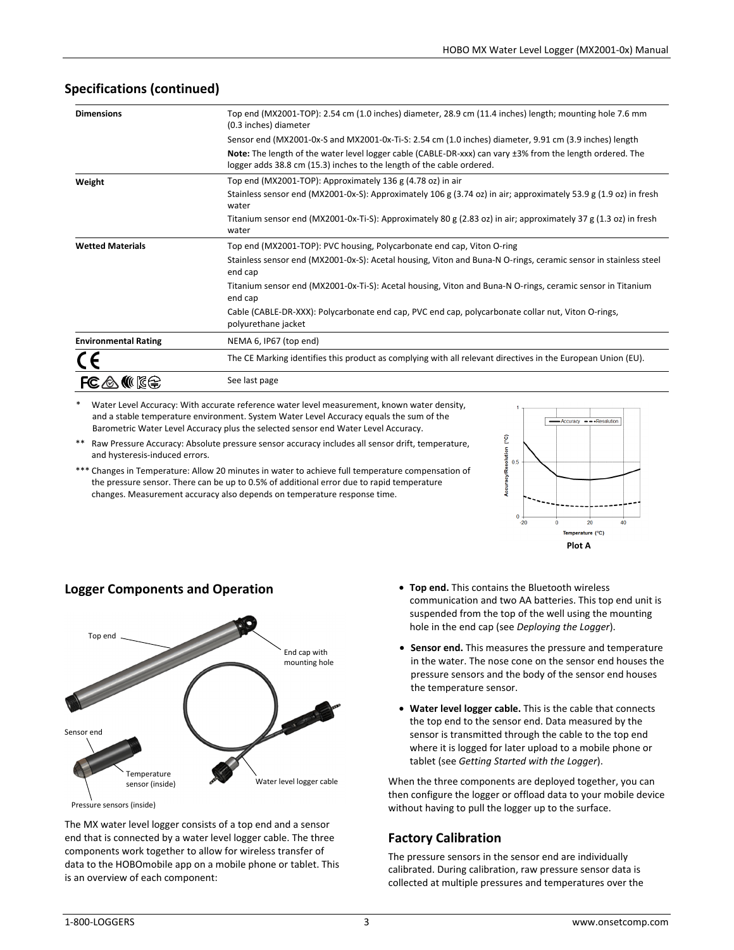| <b>Dimensions</b>           | Top end (MX2001-TOP): 2.54 cm (1.0 inches) diameter, 28.9 cm (11.4 inches) length; mounting hole 7.6 mm<br>(0.3 inches) diameter                                                   |
|-----------------------------|------------------------------------------------------------------------------------------------------------------------------------------------------------------------------------|
|                             | Sensor end (MX2001-0x-S and MX2001-0x-Ti-S: 2.54 cm (1.0 inches) diameter, 9.91 cm (3.9 inches) length                                                                             |
|                             | Note: The length of the water level logger cable (CABLE-DR-xxx) can vary ±3% from the length ordered. The<br>logger adds 38.8 cm (15.3) inches to the length of the cable ordered. |
| Weight                      | Top end (MX2001-TOP): Approximately 136 g (4.78 oz) in air                                                                                                                         |
|                             | Stainless sensor end (MX2001-0x-S): Approximately 106 g (3.74 oz) in air; approximately 53.9 g (1.9 oz) in fresh<br>water                                                          |
|                             | Titanium sensor end (MX2001-0x-Ti-S): Approximately 80 g (2.83 oz) in air; approximately 37 g (1.3 oz) in fresh<br>water                                                           |
| <b>Wetted Materials</b>     | Top end (MX2001-TOP): PVC housing, Polycarbonate end cap, Viton O-ring                                                                                                             |
|                             | Stainless sensor end (MX2001-0x-S): Acetal housing, Viton and Buna-N O-rings, ceramic sensor in stainless steel<br>end cap                                                         |
|                             | Titanium sensor end (MX2001-0x-Ti-S): Acetal housing, Viton and Buna-N O-rings, ceramic sensor in Titanium<br>end cap                                                              |
|                             | Cable (CABLE-DR-XXX): Polycarbonate end cap, PVC end cap, polycarbonate collar nut, Viton O-rings,<br>polyurethane jacket                                                          |
| <b>Environmental Rating</b> | NEMA 6, IP67 (top end)                                                                                                                                                             |
|                             | The CE Marking identifies this product as complying with all relevant directives in the European Union (EU).                                                                       |
| $FC \triangle$              | See last page                                                                                                                                                                      |

### **Specifications (continued)**

Water Level Accuracy: With accurate reference water level measurement, known water density, and a stable temperature environment. System Water Level Accuracy equals the sum of the Barometric Water Level Accuracy plus the selected sensor end Water Level Accuracy.

Raw Pressure Accuracy: Absolute pressure sensor accuracy includes all sensor drift, temperature, and hysteresis-induced errors.

\*\*\* Changes in Temperature: Allow 20 minutes in water to achieve full temperature compensation of the pressure sensor. There can be up to 0.5% of additional error due to rapid temperature changes. Measurement accuracy also depends on temperature response time.





The MX water level logger consists of a top end and a sensor end that is connected by a water level logger cable. The three components work together to allow for wireless transfer of data to the HOBOmobile app on a mobile phone or tablet. This is an overview of each component:

- **Top end.** This contains the Bluetooth wireless communication and two AA batteries. This top end unit is suspended from the top of the well using the mounting hole in the end cap (see *Deploying the Logger*).
- **Sensor end.** This measures the pressure and temperature in the water. The nose cone on the sensor end houses the pressure sensors and the body of the sensor end houses the temperature sensor.
- **Water level logger cable.** This is the cable that connects the top end to the sensor end. Data measured by the sensor is transmitted through the cable to the top end where it is logged for later upload to a mobile phone or tablet (see *Getting Started with the Logger*).

When the three components are deployed together, you can then configure the logger or offload data to your mobile device without having to pull the logger up to the surface.

# **Factory Calibration**

The pressure sensors in the sensor end are individually calibrated. During calibration, raw pressure sensor data is collected at multiple pressures and temperatures over the

### **Logger Components and Operation**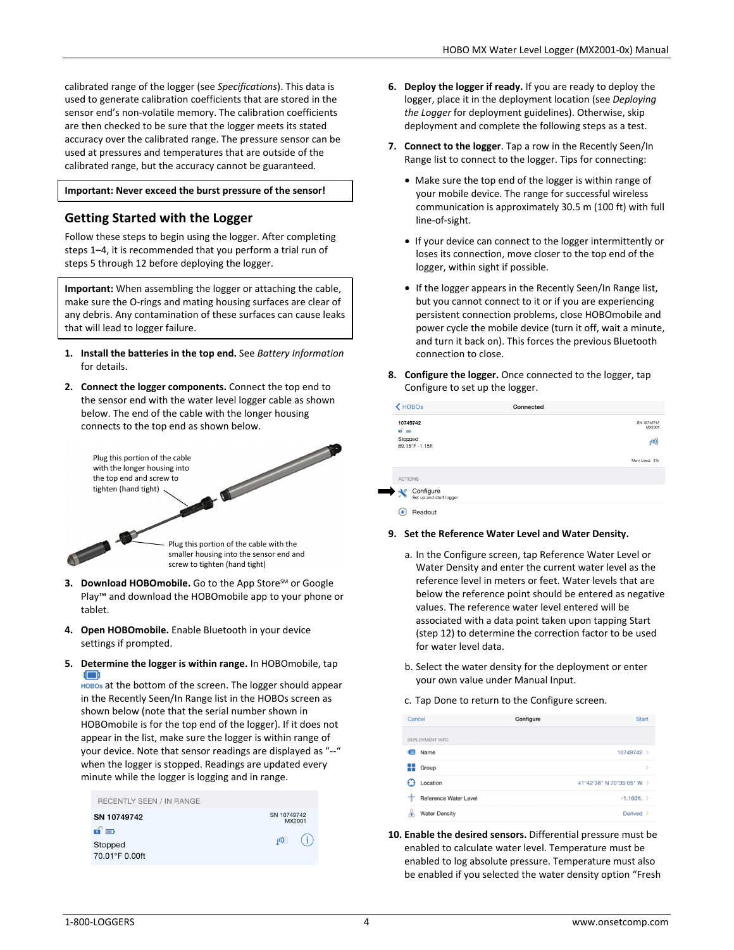calibrated range of the logger (see *Specifications*). This data is used to generate calibration coefficients that are stored in the sensor end's non-volatile memory. The calibration coefficients are then checked to be sure that the logger meets its stated accuracy over the calibrated range. The pressure sensor can be used at pressures and temperatures that are outside of the calibrated range, but the accuracy cannot be guaranteed.

### **Important: Never exceed the burst pressure of the sensor!**

### **Getting Started with the Logger**

Follow these steps to begin using the logger. After completing steps 1–4, it is recommended that you perform a trial run of steps 5 through 12 before deploying the logger.

**Important:** When assembling the logger or attaching the cable, make sure the O-rings and mating housing surfaces are clear of any debris. Any contamination of these surfaces can cause leaks that will lead to logger failure.

- **1. Install the batteries in the top end.** See *Battery Information* for details.
- **2. Connect the logger components.** Connect the top end to the sensor end with the water level logger cable as shown below. The end of the cable with the longer housing connects to the top end as shown below.

Plug this portion of the cable with the longer housing into the top end and screw to tighten (hand tight)

> Plug this portion of the cable with the smaller housing into the sensor end and screw to tighten (hand tight)

- **3. Download HOBOmobile.** Go to the App Store<sup>SM</sup> or Google Play™ and download the HOBOmobile app to your phone or tablet.
- **4. Open HOBOmobile.** Enable Bluetooth in your device settings if prompted.
- **5. Determine the logger is within range.** In HOBOmobile, tap œ

 at the bottom of the screen. The logger should appear in the Recently Seen/In Range list in the HOBOs screen as shown below (note that the serial number shown in HOBOmobile is for the top end of the logger). If it does not appear in the list, make sure the logger is within range of your device. Note that sensor readings are displayed as "--" when the logger is stopped. Readings are updated every minute while the logger is logging and in range.

| <b>RECENTLY SEEN / IN RANGE</b> |                       |     |
|---------------------------------|-----------------------|-----|
| SN 10749742                     | SN 10749742<br>MX2001 |     |
| ரி∋                             |                       |     |
| Stopped                         | (0)                   | (i) |
| 70.01°F 0.00ft                  |                       |     |

- **6. Deploy the logger if ready.** If you are ready to deploy the logger, place it in the deployment location (see *Deploying the Logger* for deployment guidelines). Otherwise, skip deployment and complete the following steps as a test.
- **7. Connect to the logger**. Tap a row in the Recently Seen/In Range list to connect to the logger. Tips for connecting:
	- Make sure the top end of the logger is within range of your mobile device. The range for successful wireless communication is approximately 30.5 m (100 ft) with full line-of-sight.
	- If your device can connect to the logger intermittently or loses its connection, move closer to the top end of the logger, within sight if possible.
	- If the logger appears in the Recently Seen/In Range list, but you cannot connect to it or if you are experiencing persistent connection problems, close HOBOmobile and power cycle the mobile device (turn it off, wait a minute, and turn it back on). This forces the previous Bluetooth connection to close.
- **8. Configure the logger.** Once connected to the logger, tap Configure to set up the logger.

|                | $\bigwedge$ HOBOs                    | Connected |                               |
|----------------|--------------------------------------|-----------|-------------------------------|
| பி⇒<br>Stopped | 10749742<br>69.15°F-1.15ft           |           | SN 10749742<br>MX2001<br>(00) |
|                |                                      |           | Mem Used: 0%                  |
| <b>ACTIONS</b> |                                      |           |                               |
|                | Configure<br>Set up and start logger |           |                               |
| ÷              | Readout                              |           |                               |

### **9. Set the Reference Water Level and Water Density.**

- a. In the Configure screen, tap Reference Water Level or Water Density and enter the current water level as the reference level in meters or feet. Water levels that are below the reference point should be entered as negative values. The reference water level entered will be associated with a data point taken upon tapping Start (step 12) to determine the correction factor to be used for water level data.
- b. Select the water density for the deployment or enter your own value under Manual Input.
- c. Tap Done to return to the Configure screen.

| Cancel |                                           | Configure | <b>Start</b>              |
|--------|-------------------------------------------|-----------|---------------------------|
|        | DEPLOYMENT INFO                           |           |                           |
| ⋐      | Name                                      |           | 10749742 >                |
| 22     | Group                                     |           | $\mathcal{E}$             |
|        | Location                                  |           | 41°42'38" N 70°35'05" W > |
| ⊹      | <b>Reference Water Level</b>              |           | $-1.160ft.$               |
| ۵      | <b>Water Density</b><br><b>STATISTICS</b> |           | Derived >                 |

**10. Enable the desired sensors.** Differential pressure must be enabled to calculate water level. Temperature must be enabled to log absolute pressure. Temperature must also be enabled if you selected the water density option "Fresh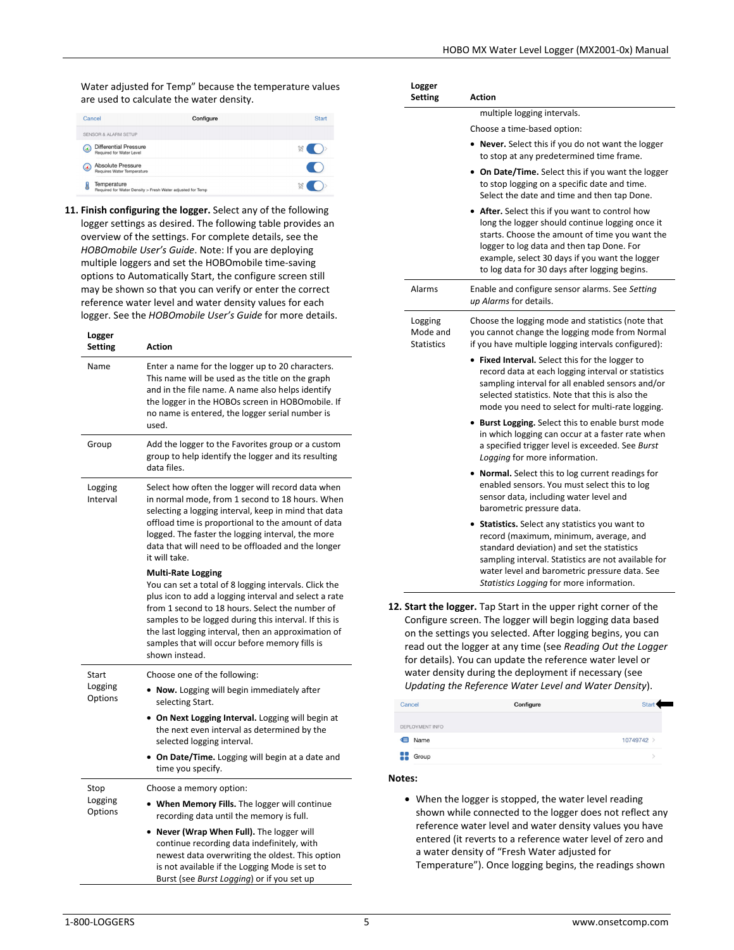Water adjusted for Temp" because the temperature values are used to calculate the water density.

| Cancel                 | Configure                                                                 | Start         |
|------------------------|---------------------------------------------------------------------------|---------------|
|                        | <b>SENSOR &amp; ALARM SETUP</b>                                           |               |
| $\boldsymbol{\omega}$  | <b>Differential Pressure</b><br>Required for Water Level                  | $\otimes$ ( ) |
| $\left(\bullet\right)$ | <b>Absolute Pressure</b><br>Requires Water Temperature                    |               |
|                        | Temperature<br>Required for Water Density > Fresh Water adjusted for Temp | $\circ$ ( )   |

**11. Finish configuring the logger.** Select any of the following logger settings as desired. The following table provides an overview of the settings. For complete details, see the *HOBOmobile User's Guide*. Note: If you are deploying multiple loggers and set the HOBOmobile time-saving options to Automatically Start, the configure screen still may be shown so that you can verify or enter the correct reference water level and water density values for each logger. See the *HOBOmobile User's Guide* for more details.

| Logger<br><b>Setting</b>    | <b>Action</b>                                                                                                                                                                                                                                                                                                                                                                      |
|-----------------------------|------------------------------------------------------------------------------------------------------------------------------------------------------------------------------------------------------------------------------------------------------------------------------------------------------------------------------------------------------------------------------------|
| Name                        | Enter a name for the logger up to 20 characters.<br>This name will be used as the title on the graph<br>and in the file name. A name also helps identify<br>the logger in the HOBOs screen in HOBOmobile. If<br>no name is entered, the logger serial number is<br>used.                                                                                                           |
| Group                       | Add the logger to the Favorites group or a custom<br>group to help identify the logger and its resulting<br>data files.                                                                                                                                                                                                                                                            |
| Logging<br>Interval         | Select how often the logger will record data when<br>in normal mode, from 1 second to 18 hours. When<br>selecting a logging interval, keep in mind that data<br>offload time is proportional to the amount of data<br>logged. The faster the logging interval, the more<br>data that will need to be offloaded and the longer<br>it will take.                                     |
|                             | <b>Multi-Rate Logging</b><br>You can set a total of 8 logging intervals. Click the<br>plus icon to add a logging interval and select a rate<br>from 1 second to 18 hours. Select the number of<br>samples to be logged during this interval. If this is<br>the last logging interval, then an approximation of<br>samples that will occur before memory fills is<br>shown instead. |
| Start<br>Logging<br>Options | Choose one of the following:<br>• Now. Logging will begin immediately after<br>selecting Start.<br>• On Next Logging Interval. Logging will begin at<br>the next even interval as determined by the<br>selected logging interval.<br>• On Date/Time. Logging will begin at a date and<br>time you specify.                                                                         |
| Stop<br>Logging<br>Options  | Choose a memory option:<br>• When Memory Fills. The logger will continue<br>recording data until the memory is full.<br>• Never (Wrap When Full). The logger will<br>continue recording data indefinitely, with<br>newest data overwriting the oldest. This option<br>is not available if the Logging Mode is set to<br>Burst (see Burst Logging) or if you set up                 |

| Logger<br>Setting                        | <b>Action</b>                                                                                                                                                                                                                                                                                                                                                                                                                                       |
|------------------------------------------|-----------------------------------------------------------------------------------------------------------------------------------------------------------------------------------------------------------------------------------------------------------------------------------------------------------------------------------------------------------------------------------------------------------------------------------------------------|
|                                          | multiple logging intervals.                                                                                                                                                                                                                                                                                                                                                                                                                         |
|                                          | Choose a time-based option:                                                                                                                                                                                                                                                                                                                                                                                                                         |
|                                          | • Never. Select this if you do not want the logger<br>to stop at any predetermined time frame.                                                                                                                                                                                                                                                                                                                                                      |
|                                          | On Date/Time. Select this if you want the logger<br>to stop logging on a specific date and time.<br>Select the date and time and then tap Done.                                                                                                                                                                                                                                                                                                     |
|                                          | • After. Select this if you want to control how<br>long the logger should continue logging once it<br>starts. Choose the amount of time you want the<br>logger to log data and then tap Done. For<br>example, select 30 days if you want the logger<br>to log data for 30 days after logging begins.                                                                                                                                                |
| Alarms                                   | Enable and configure sensor alarms. See Setting<br>up Alarms for details.                                                                                                                                                                                                                                                                                                                                                                           |
| Logging<br>Mode and<br><b>Statistics</b> | Choose the logging mode and statistics (note that<br>you cannot change the logging mode from Normal<br>if you have multiple logging intervals configured):                                                                                                                                                                                                                                                                                          |
|                                          | • Fixed Interval. Select this for the logger to<br>record data at each logging interval or statistics<br>sampling interval for all enabled sensors and/or<br>selected statistics. Note that this is also the<br>mode you need to select for multi-rate logging.                                                                                                                                                                                     |
|                                          | • Burst Logging. Select this to enable burst mode<br>in which logging can occur at a faster rate when<br>a specified trigger level is exceeded. See Burst<br>Logging for more information.                                                                                                                                                                                                                                                          |
|                                          | • Normal. Select this to log current readings for<br>enabled sensors. You must select this to log<br>sensor data, including water level and<br>barometric pressure data.                                                                                                                                                                                                                                                                            |
|                                          | <b>Statistics.</b> Select any statistics you want to<br>record (maximum, minimum, average, and<br>standard deviation) and set the statistics<br>sampling interval. Statistics are not available for<br>water level and barometric pressure data. See<br>Statistics Logging for more information.                                                                                                                                                    |
|                                          | <b>12. Start the logger.</b> Tap Start in the upper right corner of the<br>Configure screen. The logger will begin logging data based<br>on the settings you selected. After logging begins, you can<br>read out the logger at any time (see Reading Out the Logger<br>for details). You can update the reference water level or<br>water density during the deployment if necessary (see<br>Updating the Reference Water Level and Water Density). |

| Cancel          | Configure | <b>Start</b> |
|-----------------|-----------|--------------|
| DEPLOYMENT INFO |           |              |
| Name<br>∈       |           | 10749742 >   |
| 88<br>Group     |           |              |

### **Notes:**

• When the logger is stopped, the water level reading shown while connected to the logger does not reflect any reference water level and water density values you have entered (it reverts to a reference water level of zero and a water density of "Fresh Water adjusted for Temperature"). Once logging begins, the readings shown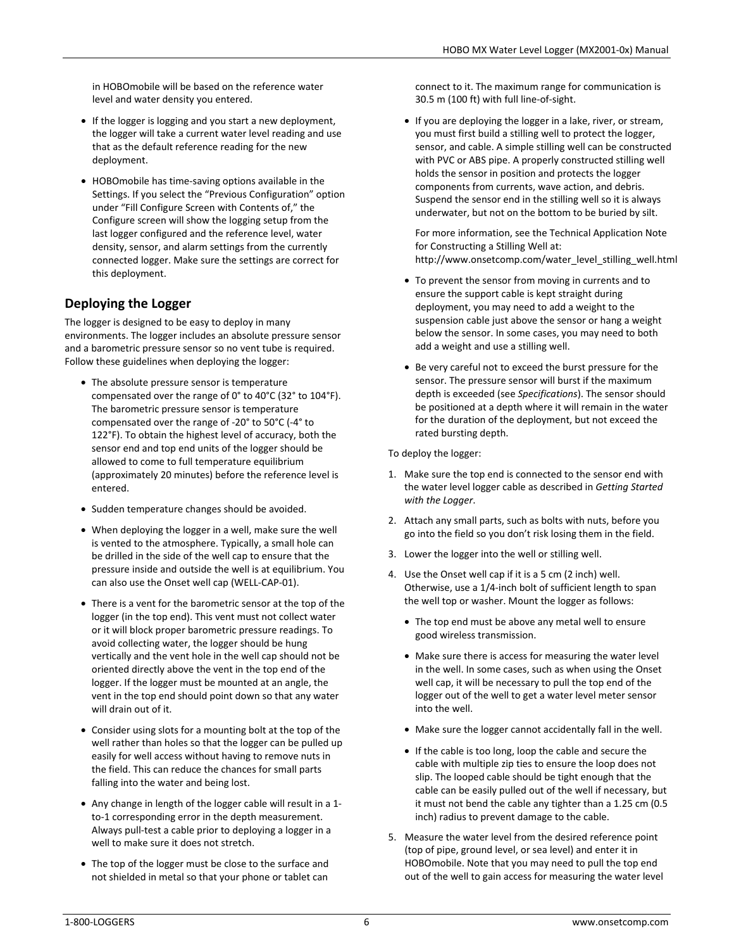in HOBOmobile will be based on the reference water level and water density you entered.

- If the logger is logging and you start a new deployment, the logger will take a current water level reading and use that as the default reference reading for the new deployment.
- HOBOmobile has time-saving options available in the Settings. If you select the "Previous Configuration" option under "Fill Configure Screen with Contents of," the Configure screen will show the logging setup from the last logger configured and the reference level, water density, sensor, and alarm settings from the currently connected logger. Make sure the settings are correct for this deployment.

# **Deploying the Logger**

The logger is designed to be easy to deploy in many environments. The logger includes an absolute pressure sensor and a barometric pressure sensor so no vent tube is required. Follow these guidelines when deploying the logger:

- The absolute pressure sensor is temperature compensated over the range of 0° to 40°C (32° to 104°F). The barometric pressure sensor is temperature compensated over the range of -20° to 50°C (-4° to 122°F). To obtain the highest level of accuracy, both the sensor end and top end units of the logger should be allowed to come to full temperature equilibrium (approximately 20 minutes) before the reference level is entered.
- Sudden temperature changes should be avoided.
- When deploying the logger in a well, make sure the well is vented to the atmosphere. Typically, a small hole can be drilled in the side of the well cap to ensure that the pressure inside and outside the well is at equilibrium. You can also use the Onset well cap (WELL-CAP-01).
- There is a vent for the barometric sensor at the top of the logger (in the top end). This vent must not collect water or it will block proper barometric pressure readings. To avoid collecting water, the logger should be hung vertically and the vent hole in the well cap should not be oriented directly above the vent in the top end of the logger. If the logger must be mounted at an angle, the vent in the top end should point down so that any water will drain out of it.
- Consider using slots for a mounting bolt at the top of the well rather than holes so that the logger can be pulled up easily for well access without having to remove nuts in the field. This can reduce the chances for small parts falling into the water and being lost.
- Any change in length of the logger cable will result in a 1 to-1 corresponding error in the depth measurement. Always pull-test a cable prior to deploying a logger in a well to make sure it does not stretch.
- The top of the logger must be close to the surface and not shielded in metal so that your phone or tablet can

connect to it. The maximum range for communication is 30.5 m (100 ft) with full line-of-sight.

• If you are deploying the logger in a lake, river, or stream, you must first build a stilling well to protect the logger, sensor, and cable. A simple stilling well can be constructed with PVC or ABS pipe. A properly constructed stilling well holds the sensor in position and protects the logger components from currents, wave action, and debris. Suspend the sensor end in the stilling well so it is always underwater, but not on the bottom to be buried by silt.

For more information, see the Technical Application Note for Constructing a Stilling Well at: http://www.onsetcomp.com/water\_level\_stilling\_well.html

- To prevent the sensor from moving in currents and to ensure the support cable is kept straight during deployment, you may need to add a weight to the suspension cable just above the sensor or hang a weight below the sensor. In some cases, you may need to both add a weight and use a stilling well.
- Be very careful not to exceed the burst pressure for the sensor. The pressure sensor will burst if the maximum depth is exceeded (see *Specifications*). The sensor should be positioned at a depth where it will remain in the water for the duration of the deployment, but not exceed the rated bursting depth.

To deploy the logger:

- 1. Make sure the top end is connected to the sensor end with the water level logger cable as described in *Getting Started with the Logger*.
- 2. Attach any small parts, such as bolts with nuts, before you go into the field so you don't risk losing them in the field.
- 3. Lower the logger into the well or stilling well.
- 4. Use the Onset well cap if it is a 5 cm (2 inch) well. Otherwise, use a 1/4-inch bolt of sufficient length to span the well top or washer. Mount the logger as follows:
	- The top end must be above any metal well to ensure good wireless transmission.
	- Make sure there is access for measuring the water level in the well. In some cases, such as when using the Onset well cap, it will be necessary to pull the top end of the logger out of the well to get a water level meter sensor into the well.
	- Make sure the logger cannot accidentally fall in the well.
	- If the cable is too long, loop the cable and secure the cable with multiple zip ties to ensure the loop does not slip. The looped cable should be tight enough that the cable can be easily pulled out of the well if necessary, but it must not bend the cable any tighter than a 1.25 cm (0.5 inch) radius to prevent damage to the cable.
- 5. Measure the water level from the desired reference point (top of pipe, ground level, or sea level) and enter it in HOBOmobile. Note that you may need to pull the top end out of the well to gain access for measuring the water level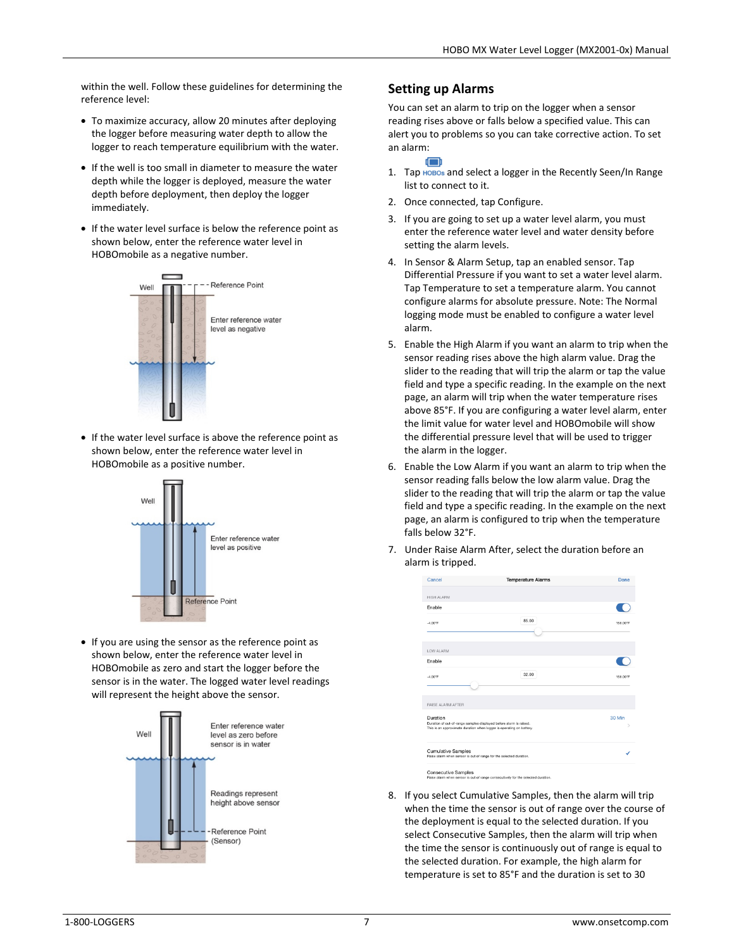within the well. Follow these guidelines for determining the reference level:

- To maximize accuracy, allow 20 minutes after deploying the logger before measuring water depth to allow the logger to reach temperature equilibrium with the water.
- If the well is too small in diameter to measure the water depth while the logger is deployed, measure the water depth before deployment, then deploy the logger immediately.
- If the water level surface is below the reference point as shown below, enter the reference water level in HOBOmobile as a negative number.



• If the water level surface is above the reference point as shown below, enter the reference water level in HOBOmobile as a positive number.



• If you are using the sensor as the reference point as shown below, enter the reference water level in HOBOmobile as zero and start the logger before the sensor is in the water. The logged water level readings will represent the height above the sensor.



### **Setting up Alarms**

You can set an alarm to trip on the logger when a sensor reading rises above or falls below a specified value. This can alert you to problems so you can take corrective action. To set an alarm:

- d Th 1. Tap HOBOs and select a logger in the Recently Seen/In Range list to connect to it.
- 2. Once connected, tap Configure.
- 3. If you are going to set up a water level alarm, you must enter the reference water level and water density before setting the alarm levels.
- 4. In Sensor & Alarm Setup, tap an enabled sensor. Tap Differential Pressure if you want to set a water level alarm. Tap Temperature to set a temperature alarm. You cannot configure alarms for absolute pressure. Note: The Normal logging mode must be enabled to configure a water level alarm.
- 5. Enable the High Alarm if you want an alarm to trip when the sensor reading rises above the high alarm value. Drag the slider to the reading that will trip the alarm or tap the value field and type a specific reading. In the example on the next page, an alarm will trip when the water temperature rises above 85°F. If you are configuring a water level alarm, enter the limit value for water level and HOBOmobile will show the differential pressure level that will be used to trigger the alarm in the logger.
- 6. Enable the Low Alarm if you want an alarm to trip when the sensor reading falls below the low alarm value. Drag the slider to the reading that will trip the alarm or tap the value field and type a specific reading. In the example on the next page, an alarm is configured to trip when the temperature falls below 32°F.
- 7. Under Raise Alarm After, select the duration before an alarm is tripped.

| Cancel                                                                                                                                                 | <b>Temperature Alarms</b> | Done     |
|--------------------------------------------------------------------------------------------------------------------------------------------------------|---------------------------|----------|
| <b>HIGH ALARM</b>                                                                                                                                      |                           |          |
| Enable                                                                                                                                                 |                           |          |
| $-4.00$ <sup>*</sup> F                                                                                                                                 | 85.00                     | 158.00°F |
| LOW ALARM                                                                                                                                              |                           |          |
| Enable                                                                                                                                                 |                           |          |
| $-4.00^{\circ}$ F                                                                                                                                      | 32.00                     | 158.00°F |
| RAISE ALARM AFTER                                                                                                                                      |                           |          |
| Duration<br>Duration of out-of-range samples displayed before alarm is raised.<br>This is an approximate duration when logger is operating on battery. |                           | 30 Min   |
| <b>Cumulative Samples</b><br>Raise alarm when sensor is out of range for the selected duration.                                                        |                           |          |
| <b>Consecutive Samples</b>                                                                                                                             |                           |          |

8. If you select Cumulative Samples, then the alarm will trip when the time the sensor is out of range over the course of the deployment is equal to the selected duration. If you select Consecutive Samples, then the alarm will trip when the time the sensor is continuously out of range is equal to the selected duration. For example, the high alarm for temperature is set to 85°F and the duration is set to 30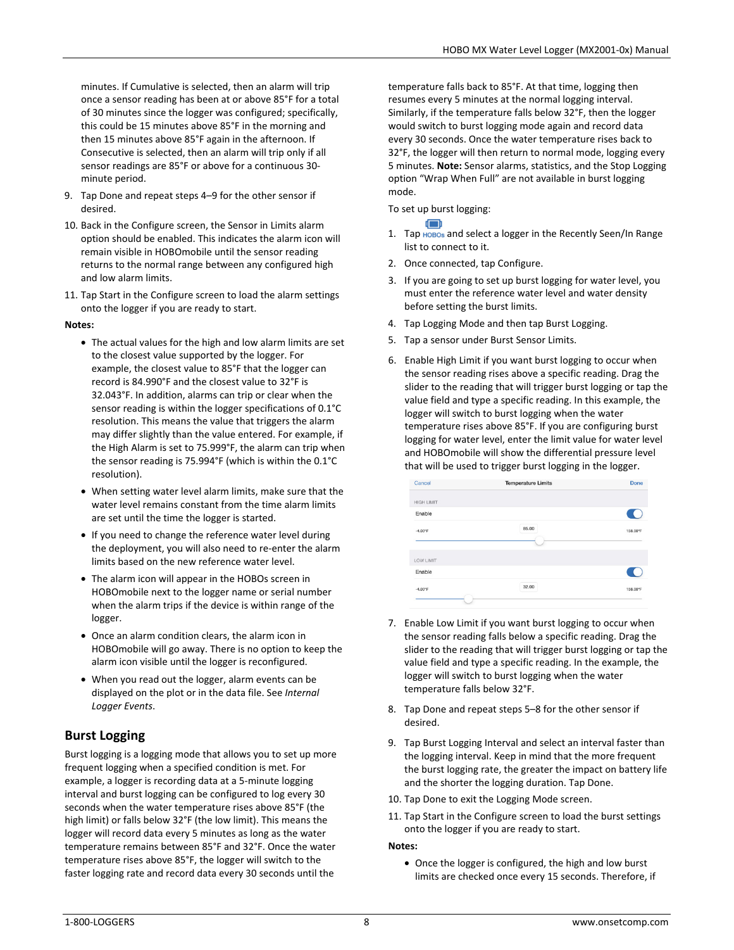minutes. If Cumulative is selected, then an alarm will trip once a sensor reading has been at or above 85°F for a total of 30 minutes since the logger was configured; specifically, this could be 15 minutes above 85°F in the morning and then 15 minutes above 85°F again in the afternoon. If Consecutive is selected, then an alarm will trip only if all sensor readings are 85°F or above for a continuous 30 minute period.

- 9. Tap Done and repeat steps 4–9 for the other sensor if desired.
- 10. Back in the Configure screen, the Sensor in Limits alarm option should be enabled. This indicates the alarm icon will remain visible in HOBOmobile until the sensor reading returns to the normal range between any configured high and low alarm limits.
- 11. Tap Start in the Configure screen to load the alarm settings onto the logger if you are ready to start.

### **Notes:**

- The actual values for the high and low alarm limits are set to the closest value supported by the logger. For example, the closest value to 85°F that the logger can record is 84.990°F and the closest value to 32°F is 32.043°F. In addition, alarms can trip or clear when the sensor reading is within the logger specifications of 0.1°C resolution. This means the value that triggers the alarm may differ slightly than the value entered. For example, if the High Alarm is set to 75.999°F, the alarm can trip when the sensor reading is 75.994°F (which is within the 0.1°C resolution).
- When setting water level alarm limits, make sure that the water level remains constant from the time alarm limits are set until the time the logger is started.
- If you need to change the reference water level during the deployment, you will also need to re-enter the alarm limits based on the new reference water level.
- The alarm icon will appear in the HOBOs screen in HOBOmobile next to the logger name or serial number when the alarm trips if the device is within range of the logger.
- Once an alarm condition clears, the alarm icon in HOBOmobile will go away. There is no option to keep the alarm icon visible until the logger is reconfigured.
- When you read out the logger, alarm events can be displayed on the plot or in the data file. See *Internal Logger Events*.

# **Burst Logging**

Burst logging is a logging mode that allows you to set up more frequent logging when a specified condition is met. For example, a logger is recording data at a 5-minute logging interval and burst logging can be configured to log every 30 seconds when the water temperature rises above 85°F (the high limit) or falls below 32°F (the low limit). This means the logger will record data every 5 minutes as long as the water temperature remains between 85°F and 32°F. Once the water temperature rises above 85°F, the logger will switch to the faster logging rate and record data every 30 seconds until the

temperature falls back to 85°F. At that time, logging then resumes every 5 minutes at the normal logging interval. Similarly, if the temperature falls below 32°F, then the logger would switch to burst logging mode again and record data every 30 seconds. Once the water temperature rises back to 32°F, the logger will then return to normal mode, logging every 5 minutes. **Note:** Sensor alarms, statistics, and the Stop Logging option "Wrap When Full" are not available in burst logging mode.

To set up burst logging:

- r Timb 1. Tap HOBOs and select a logger in the Recently Seen/In Range list to connect to it.
- 2. Once connected, tap Configure.
- 3. If you are going to set up burst logging for water level, you must enter the reference water level and water density before setting the burst limits.
- 4. Tap Logging Mode and then tap Burst Logging.
- 5. Tap a sensor under Burst Sensor Limits.
- 6. Enable High Limit if you want burst logging to occur when the sensor reading rises above a specific reading. Drag the slider to the reading that will trigger burst logging or tap the value field and type a specific reading. In this example, the logger will switch to burst logging when the water temperature rises above 85°F. If you are configuring burst logging for water level, enter the limit value for water level and HOBOmobile will show the differential pressure level that will be used to trigger burst logging in the logger.

| Cancel            | <b>Temperature Limits</b> | Done     |
|-------------------|---------------------------|----------|
| <b>HIGH LIMIT</b> |                           |          |
| Enable            |                           | ₹.       |
| $-4.00^{\circ}$ F | 85.00                     | 158.00°F |
|                   |                           |          |
| <b>LOW LIMIT</b>  |                           |          |
| Enable            |                           |          |
| $-4.00^{\circ}$ F | 32.00                     | 158.00°F |

- 7. Enable Low Limit if you want burst logging to occur when the sensor reading falls below a specific reading. Drag the slider to the reading that will trigger burst logging or tap the value field and type a specific reading. In the example, the logger will switch to burst logging when the water temperature falls below 32°F.
- 8. Tap Done and repeat steps 5–8 for the other sensor if desired.
- 9. Tap Burst Logging Interval and select an interval faster than the logging interval. Keep in mind that the more frequent the burst logging rate, the greater the impact on battery life and the shorter the logging duration. Tap Done.
- 10. Tap Done to exit the Logging Mode screen.
- 11. Tap Start in the Configure screen to load the burst settings onto the logger if you are ready to start.

### **Notes:**

• Once the logger is configured, the high and low burst limits are checked once every 15 seconds. Therefore, if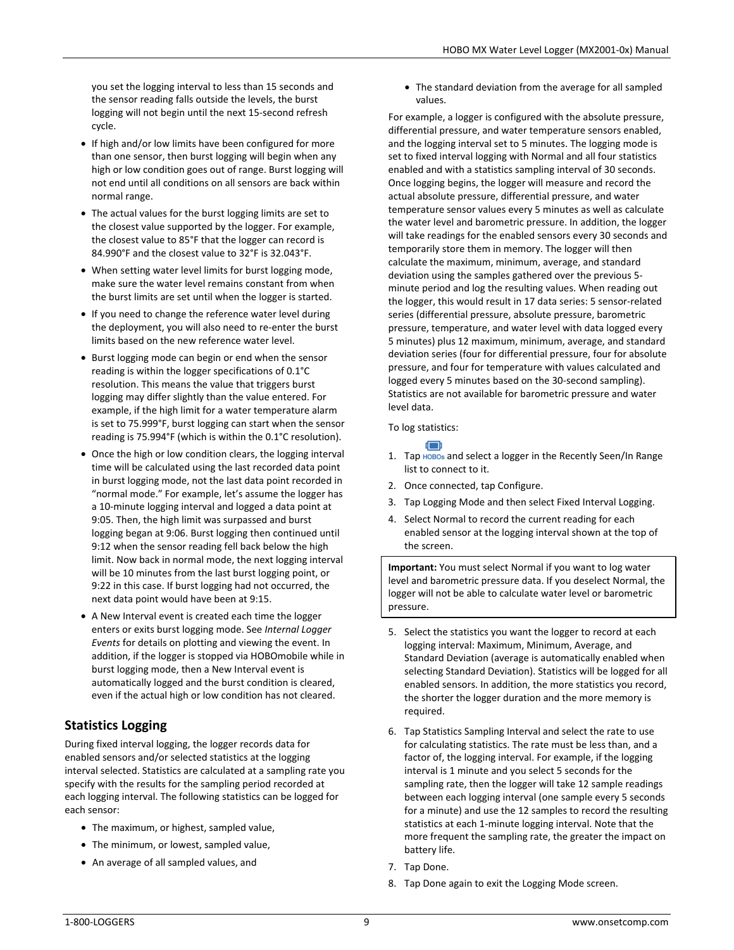you set the logging interval to less than 15 seconds and the sensor reading falls outside the levels, the burst logging will not begin until the next 15-second refresh cycle.

- If high and/or low limits have been configured for more than one sensor, then burst logging will begin when any high or low condition goes out of range. Burst logging will not end until all conditions on all sensors are back within normal range.
- The actual values for the burst logging limits are set to the closest value supported by the logger. For example, the closest value to 85°F that the logger can record is 84.990°F and the closest value to 32°F is 32.043°F.
- When setting water level limits for burst logging mode, make sure the water level remains constant from when the burst limits are set until when the logger is started.
- If you need to change the reference water level during the deployment, you will also need to re-enter the burst limits based on the new reference water level.
- Burst logging mode can begin or end when the sensor reading is within the logger specifications of 0.1°C resolution. This means the value that triggers burst logging may differ slightly than the value entered. For example, if the high limit for a water temperature alarm is set to 75.999°F, burst logging can start when the sensor reading is 75.994°F (which is within the 0.1°C resolution).
- Once the high or low condition clears, the logging interval time will be calculated using the last recorded data point in burst logging mode, not the last data point recorded in "normal mode." For example, let's assume the logger has a 10-minute logging interval and logged a data point at 9:05. Then, the high limit was surpassed and burst logging began at 9:06. Burst logging then continued until 9:12 when the sensor reading fell back below the high limit. Now back in normal mode, the next logging interval will be 10 minutes from the last burst logging point, or 9:22 in this case. If burst logging had not occurred, the next data point would have been at 9:15.
- A New Interval event is created each time the logger enters or exits burst logging mode. See *Internal Logger Events* for details on plotting and viewing the event. In addition, if the logger is stopped via HOBOmobile while in burst logging mode, then a New Interval event is automatically logged and the burst condition is cleared, even if the actual high or low condition has not cleared.

# **Statistics Logging**

During fixed interval logging, the logger records data for enabled sensors and/or selected statistics at the logging interval selected. Statistics are calculated at a sampling rate you specify with the results for the sampling period recorded at each logging interval. The following statistics can be logged for each sensor:

- The maximum, or highest, sampled value,
- The minimum, or lowest, sampled value,
- An average of all sampled values, and

• The standard deviation from the average for all sampled values.

For example, a logger is configured with the absolute pressure, differential pressure, and water temperature sensors enabled, and the logging interval set to 5 minutes. The logging mode is set to fixed interval logging with Normal and all four statistics enabled and with a statistics sampling interval of 30 seconds. Once logging begins, the logger will measure and record the actual absolute pressure, differential pressure, and water temperature sensor values every 5 minutes as well as calculate the water level and barometric pressure. In addition, the logger will take readings for the enabled sensors every 30 seconds and temporarily store them in memory. The logger will then calculate the maximum, minimum, average, and standard deviation using the samples gathered over the previous 5 minute period and log the resulting values. When reading out the logger, this would result in 17 data series: 5 sensor-related series (differential pressure, absolute pressure, barometric pressure, temperature, and water level with data logged every 5 minutes) plus 12 maximum, minimum, average, and standard deviation series (four for differential pressure, four for absolute pressure, and four for temperature with values calculated and logged every 5 minutes based on the 30-second sampling). Statistics are not available for barometric pressure and water level data.

#### To log statistics:



- 1. Tap HOBOs and select a logger in the Recently Seen/In Range list to connect to it.
- 2. Once connected, tap Configure.
- 3. Tap Logging Mode and then select Fixed Interval Logging.
- 4. Select Normal to record the current reading for each enabled sensor at the logging interval shown at the top of the screen.

**Important:** You must select Normal if you want to log water level and barometric pressure data. If you deselect Normal, the logger will not be able to calculate water level or barometric pressure.

- 5. Select the statistics you want the logger to record at each logging interval: Maximum, Minimum, Average, and Standard Deviation (average is automatically enabled when selecting Standard Deviation). Statistics will be logged for all enabled sensors. In addition, the more statistics you record, the shorter the logger duration and the more memory is required.
- 6. Tap Statistics Sampling Interval and select the rate to use for calculating statistics. The rate must be less than, and a factor of, the logging interval. For example, if the logging interval is 1 minute and you select 5 seconds for the sampling rate, then the logger will take 12 sample readings between each logging interval (one sample every 5 seconds for a minute) and use the 12 samples to record the resulting statistics at each 1-minute logging interval. Note that the more frequent the sampling rate, the greater the impact on battery life.
- 7. Tap Done.
- 8. Tap Done again to exit the Logging Mode screen.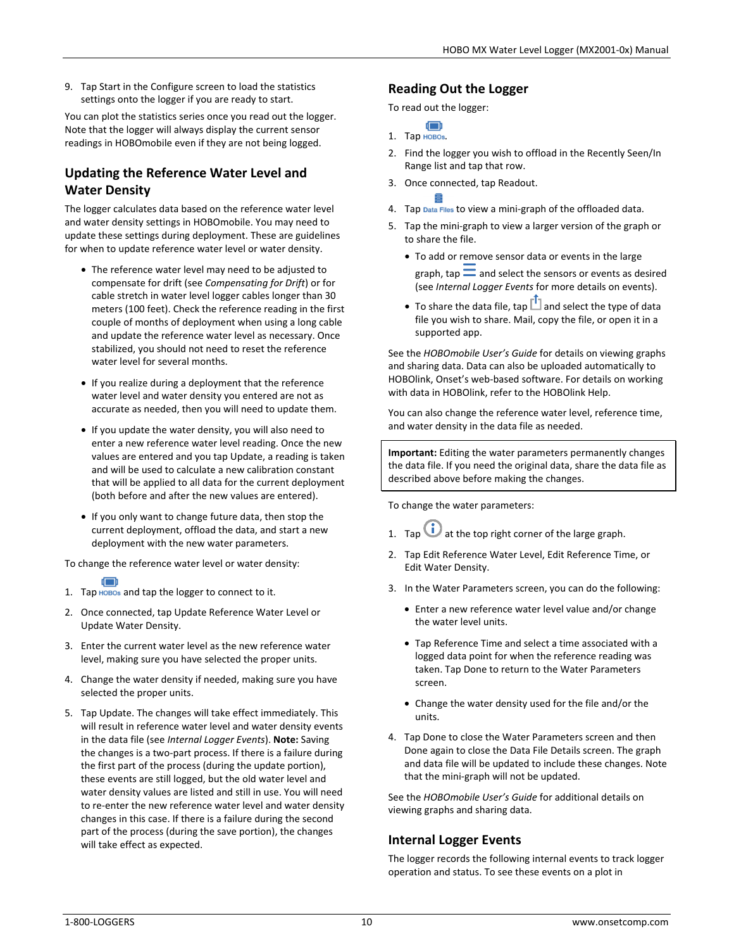9. Tap Start in the Configure screen to load the statistics settings onto the logger if you are ready to start.

You can plot the statistics series once you read out the logger. Note that the logger will always display the current sensor readings in HOBOmobile even if they are not being logged.

# **Updating the Reference Water Level and Water Density**

The logger calculates data based on the reference water level and water density settings in HOBOmobile. You may need to update these settings during deployment. These are guidelines for when to update reference water level or water density.

- The reference water level may need to be adjusted to compensate for drift (see *Compensating for Drift*) or for cable stretch in water level logger cables longer than 30 meters (100 feet). Check the reference reading in the first couple of months of deployment when using a long cable and update the reference water level as necessary. Once stabilized, you should not need to reset the reference water level for several months.
- If you realize during a deployment that the reference water level and water density you entered are not as accurate as needed, then you will need to update them.
- If you update the water density, you will also need to enter a new reference water level reading. Once the new values are entered and you tap Update, a reading is taken and will be used to calculate a new calibration constant that will be applied to all data for the current deployment (both before and after the new values are entered).
- If you only want to change future data, then stop the current deployment, offload the data, and start a new deployment with the new water parameters.

To change the reference water level or water density:

- 1. Tap HOBOs and tap the logger to connect to it.
- 2. Once connected, tap Update Reference Water Level or Update Water Density.
- 3. Enter the current water level as the new reference water level, making sure you have selected the proper units.
- 4. Change the water density if needed, making sure you have selected the proper units.
- 5. Tap Update. The changes will take effect immediately. This will result in reference water level and water density events in the data file (see *Internal Logger Events*). **Note:** Saving the changes is a two-part process. If there is a failure during the first part of the process (during the update portion), these events are still logged, but the old water level and water density values are listed and still in use. You will need to re-enter the new reference water level and water density changes in this case. If there is a failure during the second part of the process (during the save portion), the changes will take effect as expected.

### **Reading Out the Logger**

To read out the logger:

Œ  $1.$  Тар новоз.

- 2. Find the logger you wish to offload in the Recently Seen/In Range list and tap that row.
- 3. Once connected, tap Readout.
- 4. Tap Data Files to view a mini-graph of the offloaded data.
- 5. Tap the mini-graph to view a larger version of the graph or to share the file.
	- To add or remove sensor data or events in the large graph, tap  $\equiv$  and select the sensors or events as desired (see *Internal Logger Events* for more details on events).
	- To share the data file, tap  $\Box$  and select the type of data file you wish to share. Mail, copy the file, or open it in a supported app.

See the *HOBOmobile User's Guide* for details on viewing graphs and sharing data. Data can also be uploaded automatically to HOBOlink, Onset's web-based software. For details on working with data in HOBOlink, refer to the HOBOlink Help.

You can also change the reference water level, reference time, and water density in the data file as needed.

**Important:** Editing the water parameters permanently changes the data file. If you need the original data, share the data file as described above before making the changes.

To change the water parameters:

- 1. Tap  $\bigcup$  at the top right corner of the large graph.
- 2. Tap Edit Reference Water Level, Edit Reference Time, or Edit Water Density.
- 3. In the Water Parameters screen, you can do the following:
	- Enter a new reference water level value and/or change the water level units.
	- Tap Reference Time and select a time associated with a logged data point for when the reference reading was taken. Tap Done to return to the Water Parameters screen.
	- Change the water density used for the file and/or the units.
- 4. Tap Done to close the Water Parameters screen and then Done again to close the Data File Details screen. The graph and data file will be updated to include these changes. Note that the mini-graph will not be updated.

See the *HOBOmobile User's Guide* for additional details on viewing graphs and sharing data.

# **Internal Logger Events**

The logger records the following internal events to track logger operation and status. To see these events on a plot in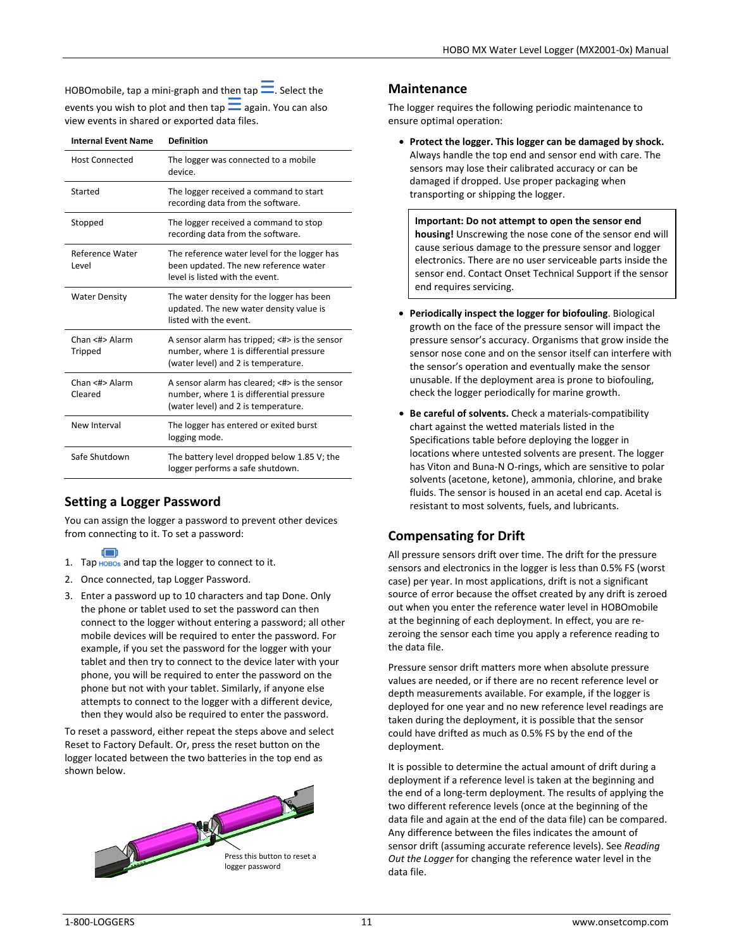HOBOmobile, tap a mini-graph and then tap  $\equiv$ . Select the events you wish to plot and then  $tan =$  again. You can also view events in shared or exported data files.

| <b>Internal Event Name</b> | <b>Definition</b>                                                                                                                |
|----------------------------|----------------------------------------------------------------------------------------------------------------------------------|
| <b>Host Connected</b>      | The logger was connected to a mobile<br>device.                                                                                  |
| Started                    | The logger received a command to start<br>recording data from the software.                                                      |
| Stopped                    | The logger received a command to stop<br>recording data from the software.                                                       |
| Reference Water<br>Level   | The reference water level for the logger has<br>been updated. The new reference water<br>level is listed with the event.         |
| <b>Water Density</b>       | The water density for the logger has been<br>updated. The new water density value is<br>listed with the event.                   |
| Chan <#> Alarm<br>Tripped  | A sensor alarm has tripped; <#> is the sensor<br>number, where 1 is differential pressure<br>(water level) and 2 is temperature. |
| Chan <#> Alarm<br>Cleared  | A sensor alarm has cleared; <#> is the sensor<br>number, where 1 is differential pressure<br>(water level) and 2 is temperature. |
| New Interval               | The logger has entered or exited burst<br>logging mode.                                                                          |
| Safe Shutdown              | The battery level dropped below 1.85 V; the<br>logger performs a safe shutdown.                                                  |

# **Setting a Logger Password**

You can assign the logger a password to prevent other devices from connecting to it. To set a password:

- 1. Tap HOBOs and tap the logger to connect to it.
- 2. Once connected, tap Logger Password.
- 3. Enter a password up to 10 characters and tap Done. Only the phone or tablet used to set the password can then connect to the logger without entering a password; all other mobile devices will be required to enter the password. For example, if you set the password for the logger with your tablet and then try to connect to the device later with your phone, you will be required to enter the password on the phone but not with your tablet. Similarly, if anyone else attempts to connect to the logger with a different device, then they would also be required to enter the password.

To reset a password, either repeat the steps above and select Reset to Factory Default. Or, press the reset button on the logger located between the two batteries in the top end as shown below.



### **Maintenance**

The logger requires the following periodic maintenance to ensure optimal operation:

• **Protect the logger. This logger can be damaged by shock.**  Always handle the top end and sensor end with care. The sensors may lose their calibrated accuracy or can be damaged if dropped. Use proper packaging when transporting or shipping the logger.

**Important: Do not attempt to open the sensor end housing!** Unscrewing the nose cone of the sensor end will cause serious damage to the pressure sensor and logger electronics. There are no user serviceable parts inside the sensor end. Contact Onset Technical Support if the sensor end requires servicing.

- **Periodically inspect the logger for biofouling**. Biological growth on the face of the pressure sensor will impact the pressure sensor's accuracy. Organisms that grow inside the sensor nose cone and on the sensor itself can interfere with the sensor's operation and eventually make the sensor unusable. If the deployment area is prone to biofouling, check the logger periodically for marine growth.
- **Be careful of solvents.** Check a materials-compatibility chart against the wetted materials listed in the Specifications table before deploying the logger in locations where untested solvents are present. The logger has Viton and Buna-N O-rings, which are sensitive to polar solvents (acetone, ketone), ammonia, chlorine, and brake fluids. The sensor is housed in an acetal end cap. Acetal is resistant to most solvents, fuels, and lubricants.

# **Compensating for Drift**

All pressure sensors drift over time. The drift for the pressure sensors and electronics in the logger is less than 0.5% FS (worst case) per year. In most applications, drift is not a significant source of error because the offset created by any drift is zeroed out when you enter the reference water level in HOBOmobile at the beginning of each deployment. In effect, you are rezeroing the sensor each time you apply a reference reading to the data file.

Pressure sensor drift matters more when absolute pressure values are needed, or if there are no recent reference level or depth measurements available. For example, if the logger is deployed for one year and no new reference level readings are taken during the deployment, it is possible that the sensor could have drifted as much as 0.5% FS by the end of the deployment.

It is possible to determine the actual amount of drift during a deployment if a reference level is taken at the beginning and the end of a long-term deployment. The results of applying the two different reference levels (once at the beginning of the data file and again at the end of the data file) can be compared. Any difference between the files indicates the amount of sensor drift (assuming accurate reference levels). See *Reading Out the Logger* for changing the reference water level in the data file.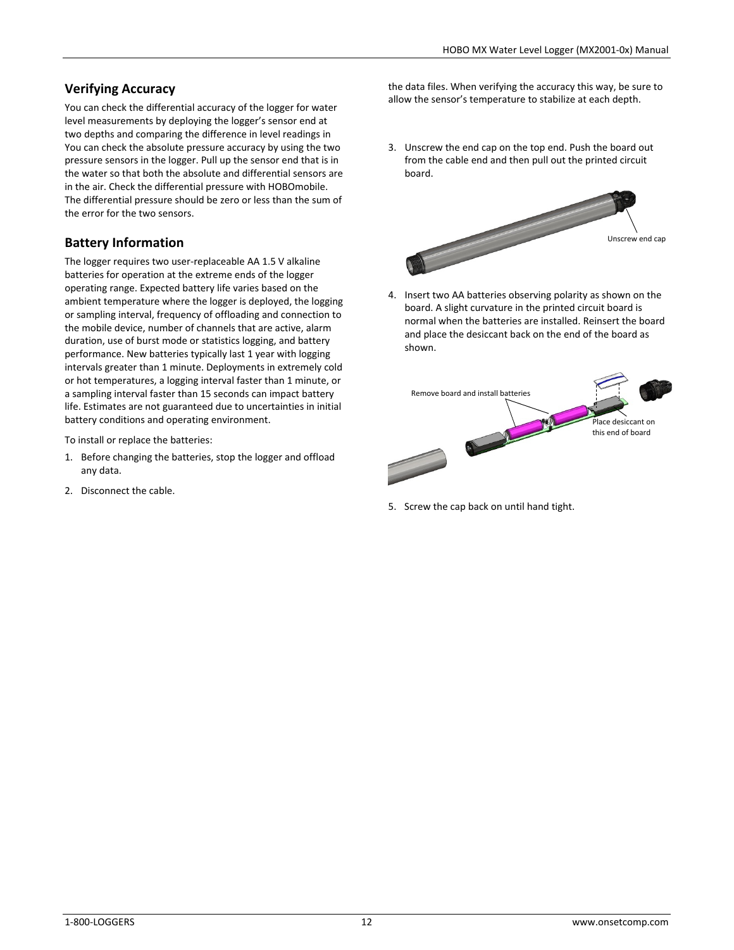# **Verifying Accuracy**

You can check the differential accuracy of the logger for water level measurements by deploying the logger's sensor end at two depths and comparing the difference in level readings in You can check the absolute pressure accuracy by using the two pressure sensors in the logger. Pull up the sensor end that is in the water so that both the absolute and differential sensors are in the air. Check the differential pressure with HOBOmobile. The differential pressure should be zero or less than the sum of the error for the two sensors.

# **Battery Information**

The logger requires two user-replaceable AA 1.5 V alkaline batteries for operation at the extreme ends of the logger operating range. Expected battery life varies based on the ambient temperature where the logger is deployed, the logging or sampling interval, frequency of offloading and connection to the mobile device, number of channels that are active, alarm duration, use of burst mode or statistics logging, and battery performance. New batteries typically last 1 year with logging intervals greater than 1 minute. Deployments in extremely cold or hot temperatures, a logging interval faster than 1 minute, or a sampling interval faster than 15 seconds can impact battery life. Estimates are not guaranteed due to uncertainties in initial battery conditions and operating environment.

To install or replace the batteries:

- 1. Before changing the batteries, stop the logger and offload any data.
- 2. Disconnect the cable.

the data files. When verifying the accuracy this way, be sure to allow the sensor's temperature to stabilize at each depth.

3. Unscrew the end cap on the top end. Push the board out from the cable end and then pull out the printed circuit board.



4. Insert two AA batteries observing polarity as shown on the board. A slight curvature in the printed circuit board is normal when the batteries are installed. Reinsert the board and place the desiccant back on the end of the board as shown.



5. Screw the cap back on until hand tight.